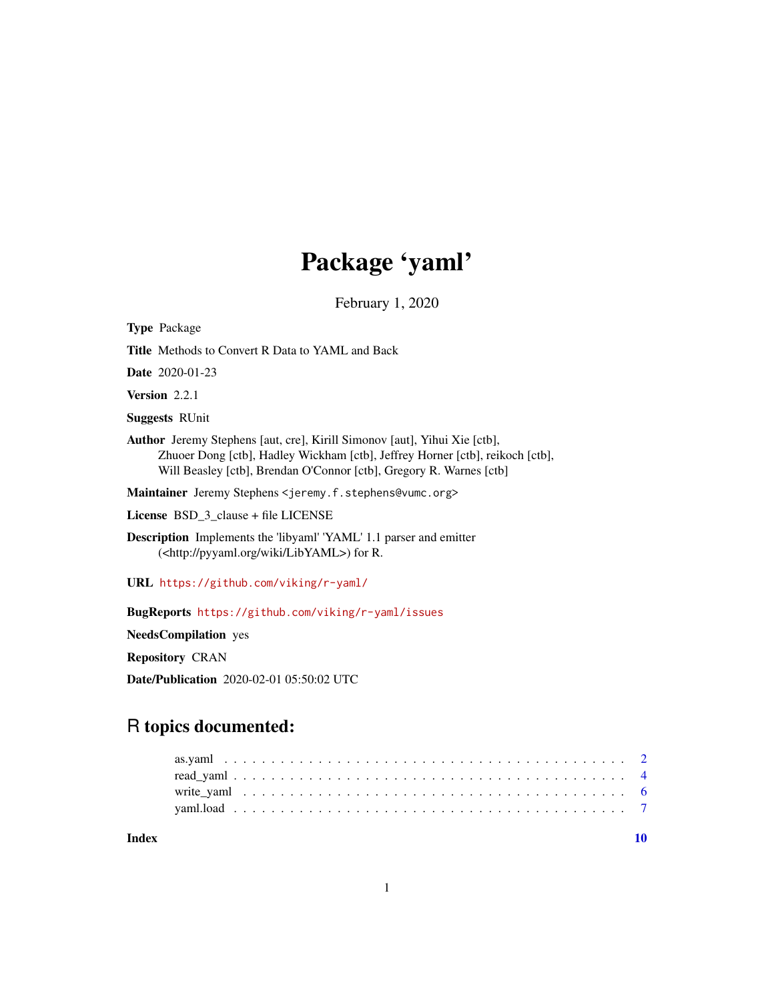## Package 'yaml'

February 1, 2020

<span id="page-0-0"></span>Type Package Title Methods to Convert R Data to YAML and Back Date 2020-01-23 Version 2.2.1 Suggests RUnit Author Jeremy Stephens [aut, cre], Kirill Simonov [aut], Yihui Xie [ctb], Zhuoer Dong [ctb], Hadley Wickham [ctb], Jeffrey Horner [ctb], reikoch [ctb], Will Beasley [ctb], Brendan O'Connor [ctb], Gregory R. Warnes [ctb] Maintainer Jeremy Stephens <jeremy.f.stephens@vumc.org> License BSD\_3\_clause + file LICENSE Description Implements the 'libyaml' 'YAML' 1.1 parser and emitter (<http://pyyaml.org/wiki/LibYAML>) for R. URL <https://github.com/viking/r-yaml/> BugReports <https://github.com/viking/r-yaml/issues>

NeedsCompilation yes

Repository CRAN

Date/Publication 2020-02-01 05:50:02 UTC

### R topics documented:

 $\blacksquare$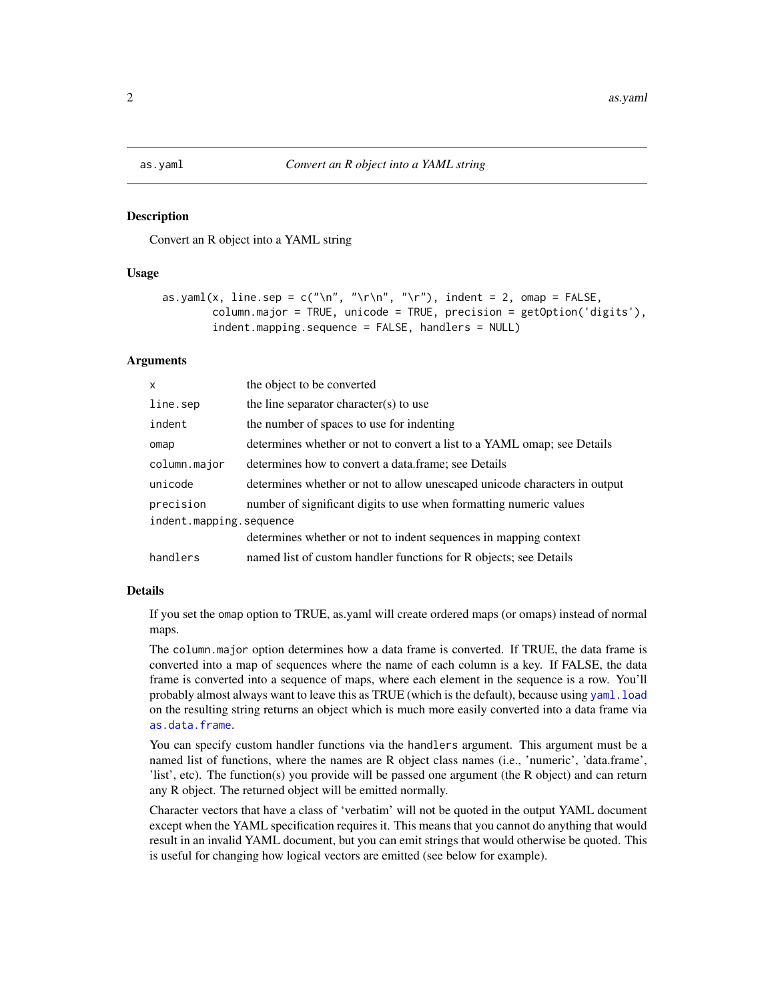<span id="page-1-1"></span><span id="page-1-0"></span>

Convert an R object into a YAML string

#### Usage

```
as.yaml(x, line.sep = c("\n", "\r\n", "\r"), indent = 2, omap = FALSE,
       column.major = TRUE, unicode = TRUE, precision = getOption('digits'),
        indent.mapping.sequence = FALSE, handlers = NULL)
```
#### Arguments

| $\mathsf{x}$            | the object to be converted                                                |  |  |
|-------------------------|---------------------------------------------------------------------------|--|--|
| line.sep                | the line separator character(s) to use                                    |  |  |
| indent                  | the number of spaces to use for indenting                                 |  |  |
| omap                    | determines whether or not to convert a list to a YAML omap; see Details   |  |  |
| column.major            | determines how to convert a data.frame; see Details                       |  |  |
| unicode                 | determines whether or not to allow unescaped unicode characters in output |  |  |
| precision               | number of significant digits to use when formatting numeric values        |  |  |
| indent.mapping.sequence |                                                                           |  |  |
|                         | determines whether or not to indent sequences in mapping context          |  |  |
| handlers                | named list of custom handler functions for R objects; see Details         |  |  |

#### Details

If you set the omap option to TRUE, as.yaml will create ordered maps (or omaps) instead of normal maps.

The column.major option determines how a data frame is converted. If TRUE, the data frame is converted into a map of sequences where the name of each column is a key. If FALSE, the data frame is converted into a sequence of maps, where each element in the sequence is a row. You'll probably almost always want to leave this as TRUE (which is the default), because using [yaml.load](#page-6-1) on the resulting string returns an object which is much more easily converted into a data frame via [as.data.frame](#page-0-0).

You can specify custom handler functions via the handlers argument. This argument must be a named list of functions, where the names are R object class names (i.e., 'numeric', 'data.frame', 'list', etc). The function(s) you provide will be passed one argument (the R object) and can return any R object. The returned object will be emitted normally.

Character vectors that have a class of 'verbatim' will not be quoted in the output YAML document except when the YAML specification requires it. This means that you cannot do anything that would result in an invalid YAML document, but you can emit strings that would otherwise be quoted. This is useful for changing how logical vectors are emitted (see below for example).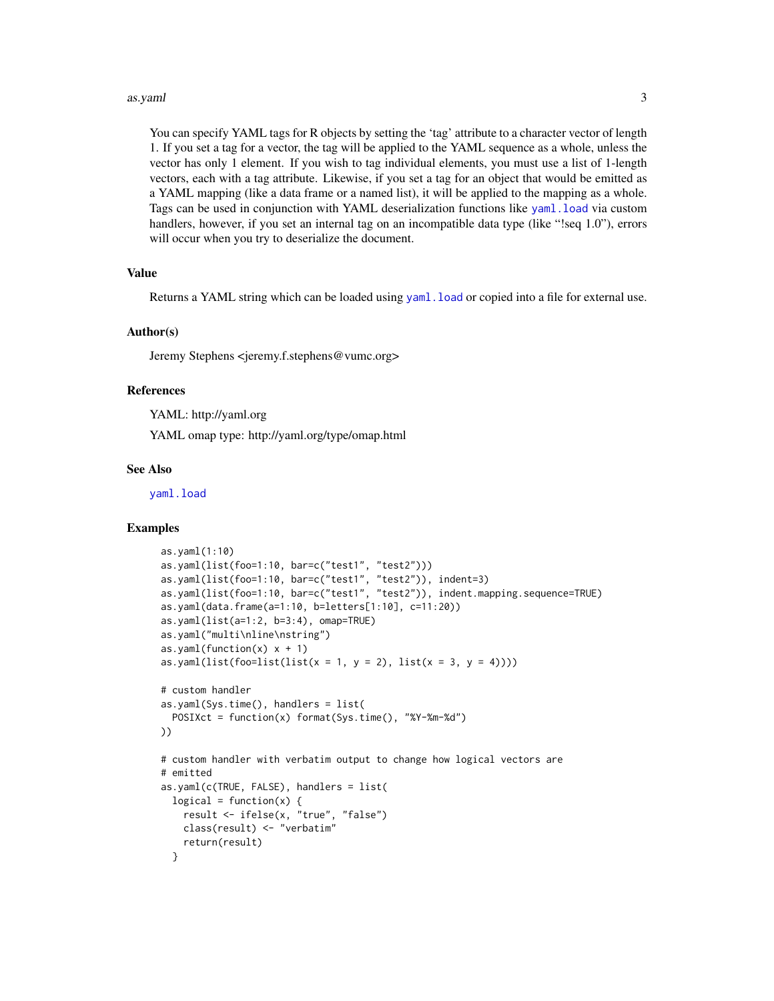#### as.yaml 3

You can specify YAML tags for R objects by setting the 'tag' attribute to a character vector of length 1. If you set a tag for a vector, the tag will be applied to the YAML sequence as a whole, unless the vector has only 1 element. If you wish to tag individual elements, you must use a list of 1-length vectors, each with a tag attribute. Likewise, if you set a tag for an object that would be emitted as a YAML mapping (like a data frame or a named list), it will be applied to the mapping as a whole. Tags can be used in conjunction with YAML deserialization functions like [yaml.load](#page-6-1) via custom handlers, however, if you set an internal tag on an incompatible data type (like "!seq 1.0"), errors will occur when you try to deserialize the document.

#### Value

Returns a YAML string which can be loaded using [yaml.load](#page-6-1) or copied into a file for external use.

#### Author(s)

Jeremy Stephens <jeremy.f.stephens@vumc.org>

#### References

YAML: http://yaml.org

YAML omap type: http://yaml.org/type/omap.html

#### See Also

[yaml.load](#page-6-1)

#### Examples

```
as.yaml(1:10)
as.yaml(list(foo=1:10, bar=c("test1", "test2")))
as.yaml(list(foo=1:10, bar=c("test1", "test2")), indent=3)
as.yaml(list(foo=1:10, bar=c("test1", "test2")), indent.mapping.sequence=TRUE)
as.yaml(data.frame(a=1:10, b=letters[1:10], c=11:20))
as.yaml(list(a=1:2, b=3:4), omap=TRUE)
as.yaml("multi\nline\nstring")
as.yaml(function(x) x + 1)
as.yaml(list(foo=list(list(x = 1, y = 2), list(x = 3, y = 4))))
# custom handler
as.yaml(Sys.time(), handlers = list(
  POSIXct = function(x) format(Sys.time(), "%Y-%m-%d")
))
# custom handler with verbatim output to change how logical vectors are
# emitted
as.yaml(c(TRUE, FALSE), handlers = list(
 logical = function(x) {
    result <- ifelse(x, "true", "false")
    class(result) <- "verbatim"
    return(result)
  }
```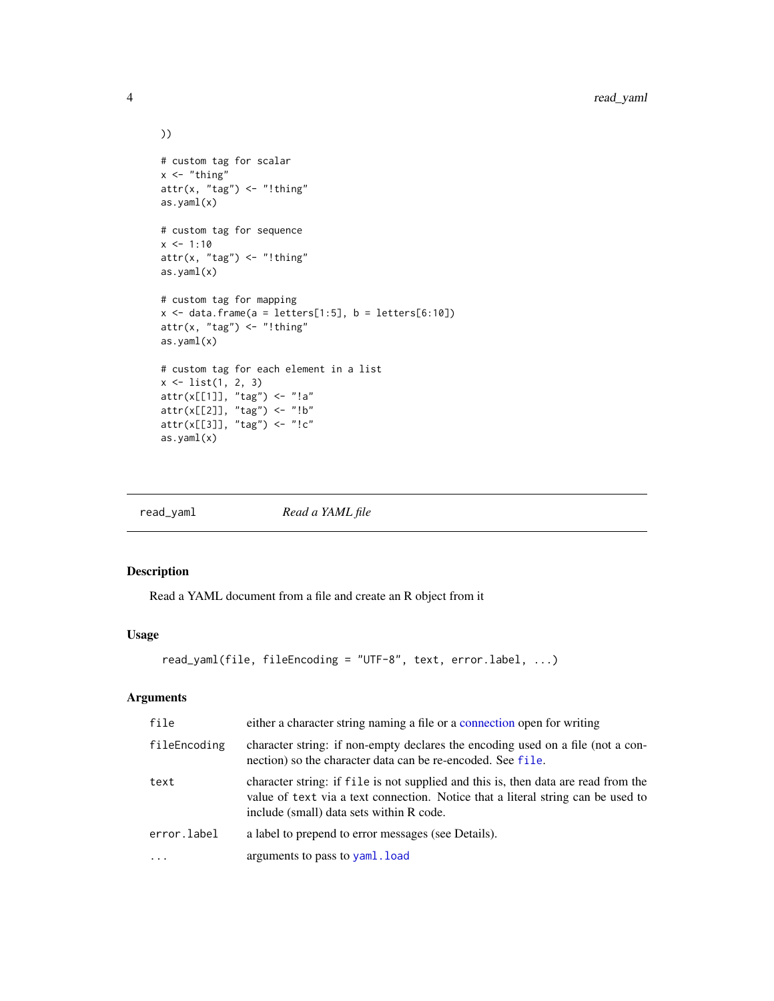```
))
# custom tag for scalar
x < - "thing"
attr(x, "tag") \leftarrow "!thing"as.yaml(x)
# custom tag for sequence
x \le -1:10attr(x, "tag") \leftarrow "!thing"as.yaml(x)
# custom tag for mapping
x \le - data.frame(a = letters[1:5], b = letters[6:10])
attr(x, "tag") \leftarrow "!thing"as.yaml(x)
# custom tag for each element in a list
x <- list(1, 2, 3)
attr(x[[1]], "tag") <- "!a"
attr(x[[2]], "tag") <- "!b"
attr(x[[3]], "tag") <- "!c"
as.yaml(x)
```
<span id="page-3-1"></span>

| Read a YAML file<br>read_yaml |  |
|-------------------------------|--|
|-------------------------------|--|

Read a YAML document from a file and create an R object from it

#### Usage

```
read_yaml(file, fileEncoding = "UTF-8", text, error.label, ...)
```
#### Arguments

| file         | either a character string naming a file or a connection open for writing                                                                                                                                           |
|--------------|--------------------------------------------------------------------------------------------------------------------------------------------------------------------------------------------------------------------|
| fileEncoding | character string: if non-empty declares the encoding used on a file (not a con-<br>nection) so the character data can be re-encoded. See file.                                                                     |
| text         | character string: if file is not supplied and this is, then data are read from the<br>value of text via a text connection. Notice that a literal string can be used to<br>include (small) data sets within R code. |
| error.label  | a label to prepend to error messages (see Details).                                                                                                                                                                |
| $\cdots$     | arguments to pass to yaml. load                                                                                                                                                                                    |

<span id="page-3-0"></span>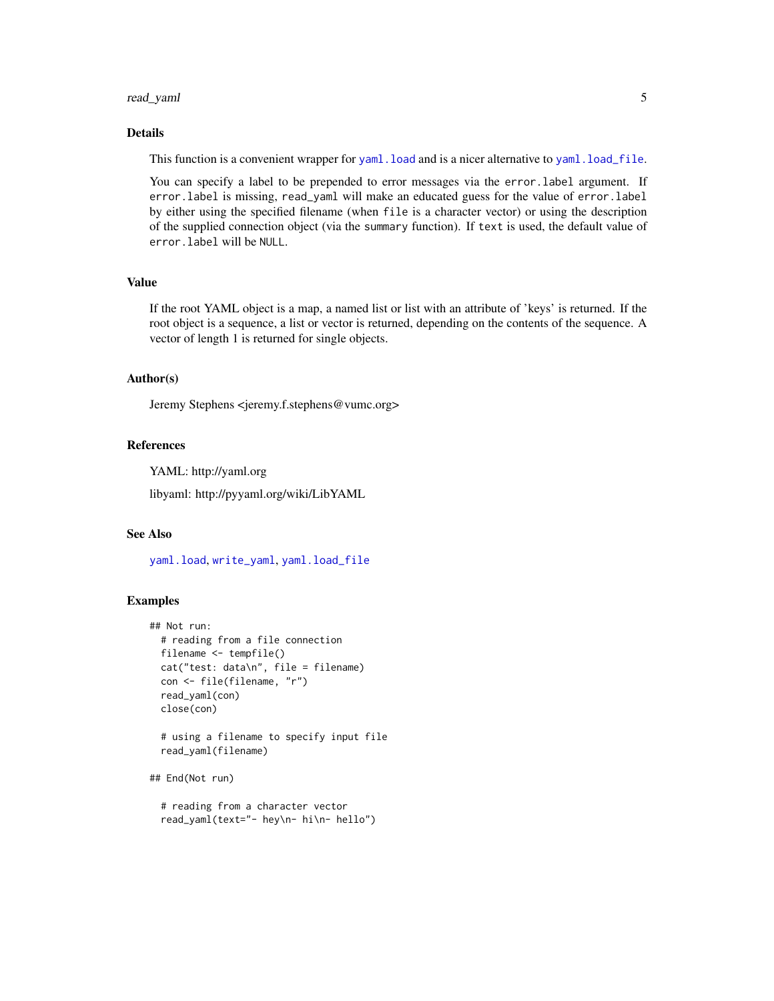#### <span id="page-4-0"></span>read\_yaml 5

#### Details

This function is a convenient wrapper for [yaml.load](#page-6-1) and is a nicer alternative to [yaml.load\\_file](#page-6-2).

You can specify a label to be prepended to error messages via the error. label argument. If error.label is missing, read\_yaml will make an educated guess for the value of error.label by either using the specified filename (when file is a character vector) or using the description of the supplied connection object (via the summary function). If text is used, the default value of error.label will be NULL.

#### Value

If the root YAML object is a map, a named list or list with an attribute of 'keys' is returned. If the root object is a sequence, a list or vector is returned, depending on the contents of the sequence. A vector of length 1 is returned for single objects.

#### Author(s)

Jeremy Stephens <jeremy.f.stephens@vumc.org>

#### References

YAML: http://yaml.org

libyaml: http://pyyaml.org/wiki/LibYAML

#### See Also

[yaml.load](#page-6-1), [write\\_yaml](#page-5-1), [yaml.load\\_file](#page-6-2)

#### Examples

```
## Not run:
 # reading from a file connection
 filename <- tempfile()
 cat("test: data\n", file = filename)
 con <- file(filename, "r")
 read_yaml(con)
 close(con)
 # using a filename to specify input file
 read_yaml(filename)
## End(Not run)
 # reading from a character vector
 read_yaml(text="- hey\n- hi\n- hello")
```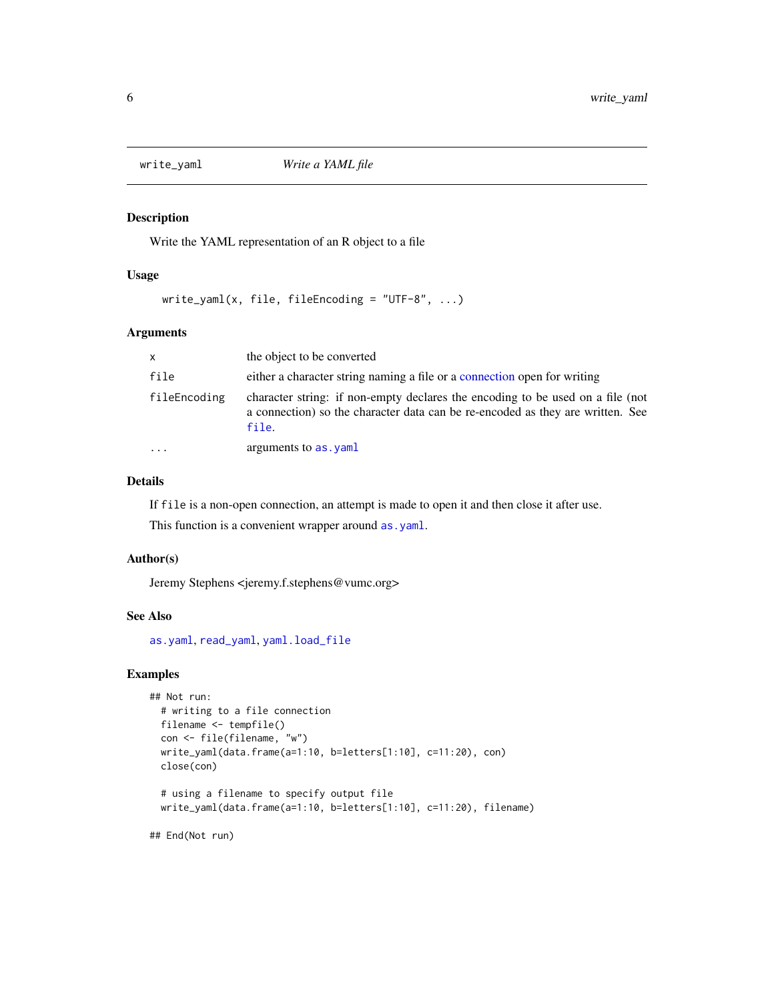<span id="page-5-1"></span><span id="page-5-0"></span>

Write the YAML representation of an R object to a file

#### Usage

write\_yaml(x, file, fileEncoding = "UTF-8",  $\dots$ )

#### Arguments

| <b>X</b>     | the object to be converted                                                                                                                                                |
|--------------|---------------------------------------------------------------------------------------------------------------------------------------------------------------------------|
| file         | either a character string naming a file or a connection open for writing                                                                                                  |
| fileEncoding | character string: if non-empty declares the encoding to be used on a file (not<br>a connection) so the character data can be re-encoded as they are written. See<br>file. |
| $\ddotsc$    | arguments to as . yaml                                                                                                                                                    |

#### Details

If file is a non-open connection, an attempt is made to open it and then close it after use.

This function is a convenient wrapper around as .yaml.

#### Author(s)

Jeremy Stephens <jeremy.f.stephens@vumc.org>

#### See Also

[as.yaml](#page-1-1), [read\\_yaml](#page-3-1), [yaml.load\\_file](#page-6-2)

#### Examples

```
## Not run:
 # writing to a file connection
 filename <- tempfile()
 con <- file(filename, "w")
 write_yaml(data.frame(a=1:10, b=letters[1:10], c=11:20), con)
 close(con)
 # using a filename to specify output file
 write_yaml(data.frame(a=1:10, b=letters[1:10], c=11:20), filename)
```
## End(Not run)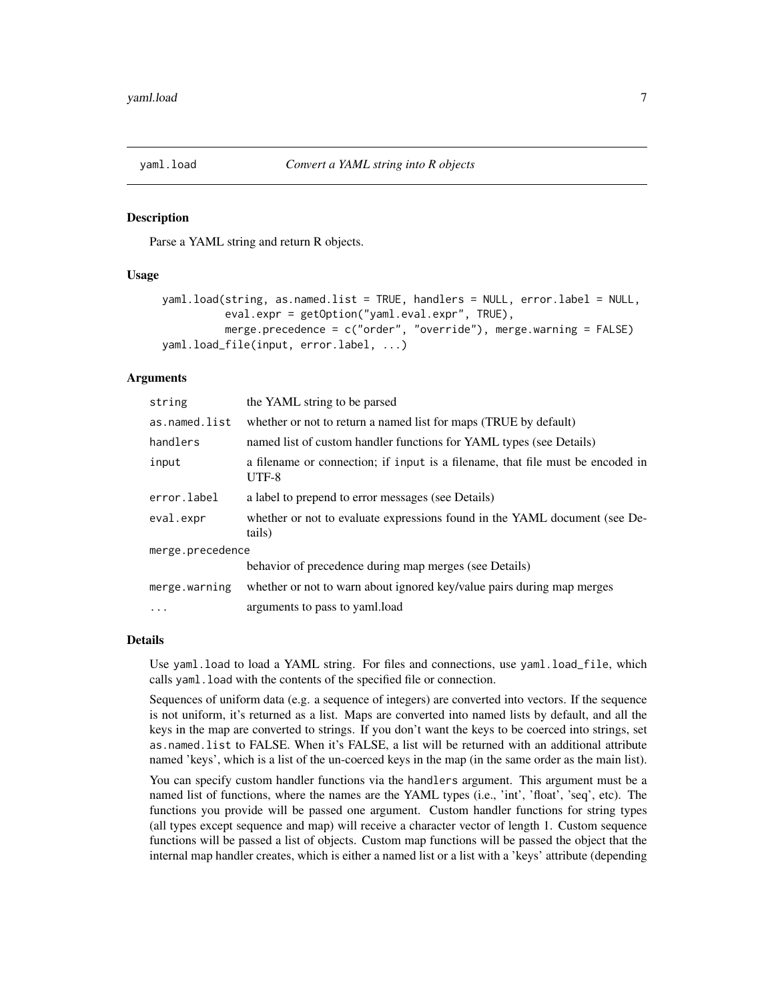<span id="page-6-2"></span><span id="page-6-1"></span><span id="page-6-0"></span>

Parse a YAML string and return R objects.

#### Usage

```
yaml.load(string, as.named.list = TRUE, handlers = NULL, error.label = NULL,
          eval.expr = getOption("yaml.eval.expr", TRUE),
          merge.precedence = c("order", "override"), merge.warning = FALSE)
yaml.load_file(input, error.label, ...)
```
#### Arguments

| string           | the YAML string to be parsed                                                            |  |
|------------------|-----------------------------------------------------------------------------------------|--|
| as.named.list    | whether or not to return a named list for maps (TRUE by default)                        |  |
| handlers         | named list of custom handler functions for YAML types (see Details)                     |  |
| input            | a filename or connection; if input is a filename, that file must be encoded in<br>UTF-8 |  |
| error.label      | a label to prepend to error messages (see Details)                                      |  |
| eval.expr        | whether or not to evaluate expressions found in the YAML document (see De-<br>tails)    |  |
| merge.precedence |                                                                                         |  |
|                  | behavior of precedence during map merges (see Details)                                  |  |
| merge.warning    | whether or not to warn about ignored key/value pairs during map merges                  |  |
| $\ddotsc$        | arguments to pass to yaml.load                                                          |  |

#### Details

Use yaml.load to load a YAML string. For files and connections, use yaml.load\_file, which calls yaml.load with the contents of the specified file or connection.

Sequences of uniform data (e.g. a sequence of integers) are converted into vectors. If the sequence is not uniform, it's returned as a list. Maps are converted into named lists by default, and all the keys in the map are converted to strings. If you don't want the keys to be coerced into strings, set as.named.list to FALSE. When it's FALSE, a list will be returned with an additional attribute named 'keys', which is a list of the un-coerced keys in the map (in the same order as the main list).

You can specify custom handler functions via the handlers argument. This argument must be a named list of functions, where the names are the YAML types (i.e., 'int', 'float', 'seq', etc). The functions you provide will be passed one argument. Custom handler functions for string types (all types except sequence and map) will receive a character vector of length 1. Custom sequence functions will be passed a list of objects. Custom map functions will be passed the object that the internal map handler creates, which is either a named list or a list with a 'keys' attribute (depending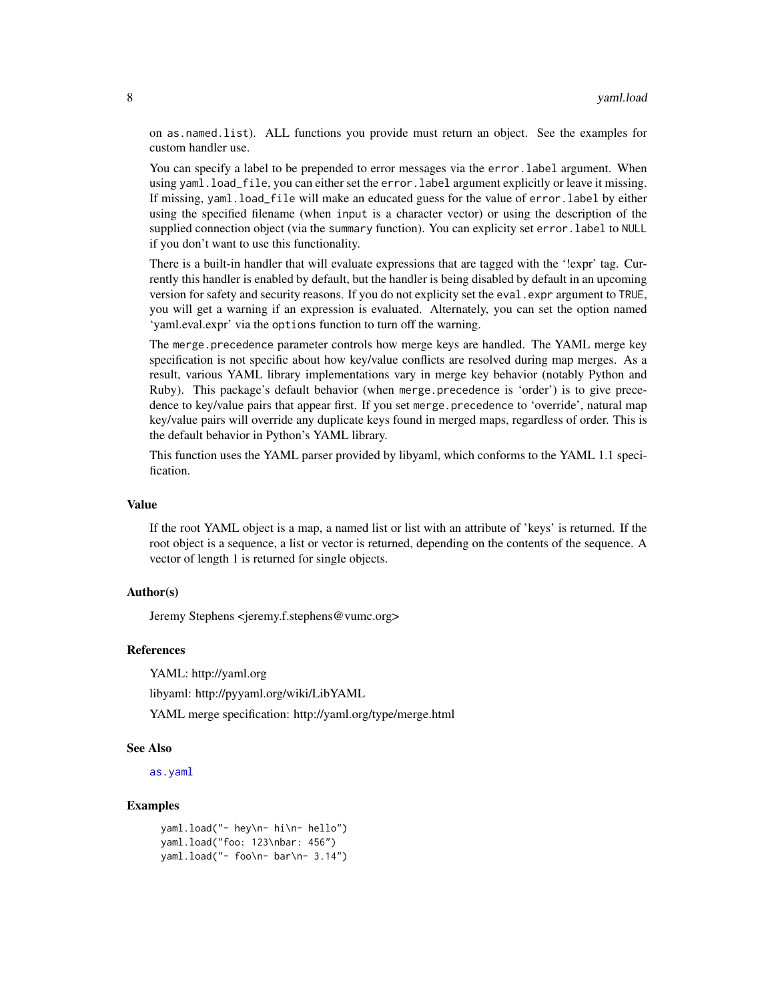<span id="page-7-0"></span>on as.named.list). ALL functions you provide must return an object. See the examples for custom handler use.

You can specify a label to be prepended to error messages via the error.label argument. When using yaml.load\_file, you can either set the error.label argument explicitly or leave it missing. If missing, yaml.load\_file will make an educated guess for the value of error.label by either using the specified filename (when input is a character vector) or using the description of the supplied connection object (via the summary function). You can explicity set error.label to NULL if you don't want to use this functionality.

There is a built-in handler that will evaluate expressions that are tagged with the '!expr' tag. Currently this handler is enabled by default, but the handler is being disabled by default in an upcoming version for safety and security reasons. If you do not explicity set the eval.expr argument to TRUE, you will get a warning if an expression is evaluated. Alternately, you can set the option named 'yaml.eval.expr' via the options function to turn off the warning.

The merge.precedence parameter controls how merge keys are handled. The YAML merge key specification is not specific about how key/value conflicts are resolved during map merges. As a result, various YAML library implementations vary in merge key behavior (notably Python and Ruby). This package's default behavior (when merge.precedence is 'order') is to give precedence to key/value pairs that appear first. If you set merge.precedence to 'override', natural map key/value pairs will override any duplicate keys found in merged maps, regardless of order. This is the default behavior in Python's YAML library.

This function uses the YAML parser provided by libyaml, which conforms to the YAML 1.1 specification.

#### Value

If the root YAML object is a map, a named list or list with an attribute of 'keys' is returned. If the root object is a sequence, a list or vector is returned, depending on the contents of the sequence. A vector of length 1 is returned for single objects.

#### Author(s)

Jeremy Stephens <jeremy.f.stephens@vumc.org>

#### References

YAML: http://yaml.org

libyaml: http://pyyaml.org/wiki/LibYAML

YAML merge specification: http://yaml.org/type/merge.html

#### See Also

[as.yaml](#page-1-1)

#### **Examples**

```
yaml.load("- hey\n- hi\n- hello")
yaml.load("foo: 123\nbar: 456")
yaml.load("- foo\n- bar\n- 3.14")
```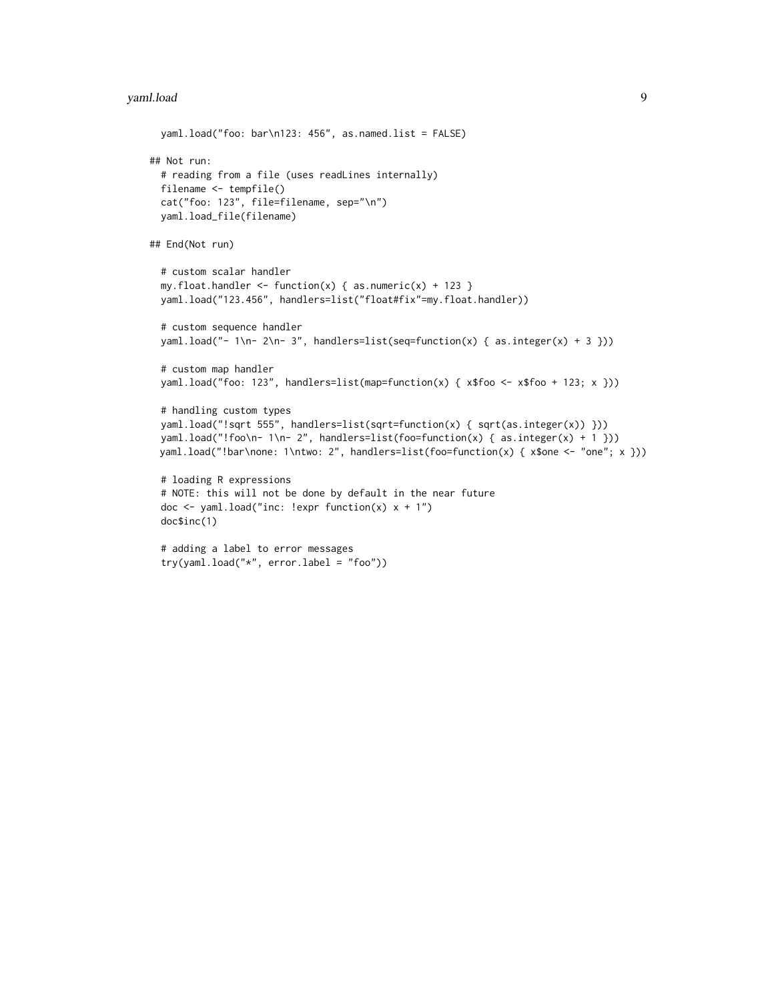#### yaml.load 9

```
yaml.load("foo: bar\n123: 456", as.named.list = FALSE)
## Not run:
 # reading from a file (uses readLines internally)
 filename <- tempfile()
 cat("foo: 123", file=filename, sep="\n")
 yaml.load_file(filename)
## End(Not run)
 # custom scalar handler
 my.float.handler <- function(x) { as.numeric(x) + 123 }
 yaml.load("123.456", handlers=list("float#fix"=my.float.handler))
 # custom sequence handler
 yaml.load("- 1\n- 2\n- 3", handlers=list(seq=function(x) { as.integer(x) + 3 }))
 # custom map handler
 yaml.load("foo: 123", handlers=list(map=function(x) { x$foo <- x$foo + 123; x }))
 # handling custom types
 yaml.load("!sqrt 555", handlers=list(sqrt=function(x) { sqrt(as.integer(x)) }))
 yaml.load("!foo\n- 1\n- 2", handlers=list(foo=function(x) { as.integer(x) + 1 }))
 yaml.load("!bar\none: 1\ntwo: 2", handlers=list(foo=function(x) { x$one <- "one"; x }))
 # loading R expressions
 # NOTE: this will not be done by default in the near future
 doc \le yaml.load("inc: !expr function(x) x + 1")
 doc$inc(1)
 # adding a label to error messages
 try(yaml.load("*", error.label = "foo"))
```